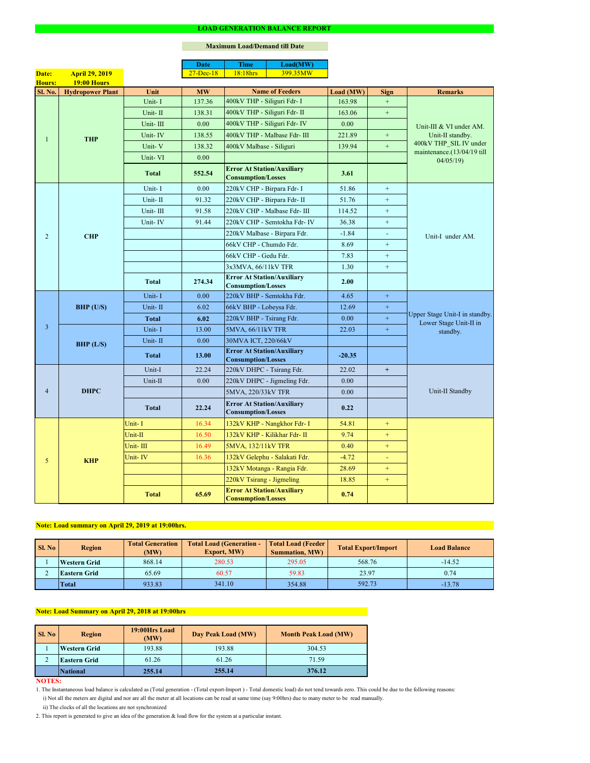#### **NOTES:**

|                |                         |              | <b>Date</b>   | <b>Time</b>                                                    | Load(MW)                      |           |                  |                                                                      |  |
|----------------|-------------------------|--------------|---------------|----------------------------------------------------------------|-------------------------------|-----------|------------------|----------------------------------------------------------------------|--|
| Date:          | <b>April 29, 2019</b>   |              | $27 - Dec-18$ | 18:18hrs                                                       | 399.35MW                      |           |                  |                                                                      |  |
| <b>Hours:</b>  | <b>19:00 Hours</b>      |              |               |                                                                |                               |           |                  |                                                                      |  |
| Sl. No.        | <b>Hydropower Plant</b> | Unit         | <b>MW</b>     |                                                                | <b>Name of Feeders</b>        | Load (MW) | <b>Sign</b>      | <b>Remarks</b>                                                       |  |
|                |                         | Unit-I       | 137.36        | 400kV THP - Siliguri Fdr- I                                    |                               | 163.98    | $\boldsymbol{+}$ |                                                                      |  |
|                |                         | Unit-II      | 138.31        | 400kV THP - Siliguri Fdr- II                                   |                               | 163.06    | $+$              |                                                                      |  |
|                |                         | Unit-III     | 0.00          |                                                                | 400kV THP - Siliguri Fdr- IV  | 0.00      |                  | Unit-III & VI under AM.                                              |  |
| 1              | <b>THP</b>              | Unit-IV      | 138.55        |                                                                | 400kV THP - Malbase Fdr- III  | 221.89    | $+$              | Unit-II standby.                                                     |  |
|                |                         | Unit-V       | 138.32        | 400kV Malbase - Siliguri                                       |                               | 139.94    | $\boldsymbol{+}$ | 400kV THP_SIL IV under<br>maintenance.(13/04/19 till                 |  |
|                |                         | Unit-VI      | 0.00          |                                                                |                               |           |                  | 04/05/19                                                             |  |
|                |                         | <b>Total</b> | 552.54        | <b>Error At Station/Auxiliary</b><br><b>Consumption/Losses</b> |                               | 3.61      |                  |                                                                      |  |
|                |                         | Unit-I       | 0.00          | 220kV CHP - Birpara Fdr- I                                     |                               | 51.86     | $\pm$            |                                                                      |  |
|                |                         | Unit-II      | 91.32         | 220kV CHP - Birpara Fdr- II                                    |                               | 51.76     | $+$              |                                                                      |  |
|                |                         | Unit-III     | 91.58         |                                                                | 220kV CHP - Malbase Fdr- III  | 114.52    | $+$              |                                                                      |  |
|                |                         | Unit-IV      | 91.44         |                                                                | 220kV CHP - Semtokha Fdr- IV  | 36.38     | $+$              |                                                                      |  |
| $\overline{2}$ | <b>CHP</b>              |              |               |                                                                | 220kV Malbase - Birpara Fdr.  | $-1.84$   | $\blacksquare$   | Unit-I under AM.                                                     |  |
|                |                         |              |               | 66kV CHP - Chumdo Fdr.                                         |                               | 8.69      | $\boldsymbol{+}$ |                                                                      |  |
|                |                         |              |               | 66kV CHP - Gedu Fdr.                                           |                               | 7.83      | $+$              |                                                                      |  |
|                |                         |              |               | 3x3MVA, 66/11kV TFR                                            |                               | 1.30      | $+$              |                                                                      |  |
|                |                         | <b>Total</b> | 274.34        | <b>Error At Station/Auxiliary</b><br><b>Consumption/Losses</b> |                               | 2.00      |                  |                                                                      |  |
|                | BHP (U/S)               | Unit-I       | 0.00          | 220kV BHP - Semtokha Fdr.                                      |                               | 4.65      | $\pm$            | Upper Stage Unit-I in standby.<br>Lower Stage Unit-II in<br>standby. |  |
|                |                         | Unit-II      | 6.02          | 66kV BHP - Lobeysa Fdr.                                        |                               | 12.69     | $+$              |                                                                      |  |
|                |                         | <b>Total</b> | 6.02          | 220kV BHP - Tsirang Fdr.                                       |                               | 0.00      | $+$              |                                                                      |  |
| $\overline{3}$ |                         | Unit-I       | 13.00         | 5MVA, 66/11kV TFR                                              |                               | 22.03     | $\pm$            |                                                                      |  |
|                | BHP (L/S)               | Unit-II      | 0.00          | 30MVA ICT, 220/66kV                                            |                               |           |                  |                                                                      |  |
|                |                         | <b>Total</b> | 13.00         | <b>Error At Station/Auxiliary</b><br><b>Consumption/Losses</b> |                               | $-20.35$  |                  |                                                                      |  |
|                | <b>DHPC</b>             | Unit-I       | 22.24         | 220kV DHPC - Tsirang Fdr.                                      |                               | 22.02     | $+$              |                                                                      |  |
|                |                         | Unit-II      | 0.00          |                                                                | 220kV DHPC - Jigmeling Fdr.   | 0.00      |                  |                                                                      |  |
| $\overline{4}$ |                         |              |               | 5MVA, 220/33kV TFR                                             |                               | 0.00      |                  | Unit-II Standby                                                      |  |
|                |                         | <b>Total</b> | 22.24         | <b>Error At Station/Auxiliary</b><br><b>Consumption/Losses</b> |                               | 0.22      |                  |                                                                      |  |
|                |                         | Unit-I       | 16.34         |                                                                | 132kV KHP - Nangkhor Fdr- I   | 54.81     | $+$              |                                                                      |  |
|                |                         | Unit-II      | 16.50         |                                                                | 132kV KHP - Kilikhar Fdr- II  | 9.74      | $+$              |                                                                      |  |
|                | <b>KHP</b>              | Unit-III     | 16.49         | 5MVA, 132/11kV TFR                                             |                               | 0.40      | $+$              |                                                                      |  |
| 5 <sup>5</sup> |                         | Unit-IV      | 16.36         |                                                                | 132kV Gelephu - Salakati Fdr. | $-4.72$   | ÷                |                                                                      |  |
|                |                         |              |               |                                                                | 132kV Motanga - Rangia Fdr.   | 28.69     | $+$              |                                                                      |  |
|                |                         |              |               | 220kV Tsirang - Jigmeling                                      |                               | 18.85     | $+$              |                                                                      |  |
|                |                         | <b>Total</b> | 65.69         | <b>Error At Station/Auxiliary</b><br><b>Consumption/Losses</b> |                               | 0.74      |                  |                                                                      |  |

#### **LOAD GENERATION BALANCE REPORT**

| <b>Sl. No</b> | <b>Total Generation</b><br><b>Region</b><br>(MW) |        | <b>Total Load (Generation -</b><br><b>Export, MW)</b> | <b>Total Load (Feeder)</b><br><b>Summation, MW)</b> | <b>Total Export/Import</b> | <b>Load Balance</b> |  |
|---------------|--------------------------------------------------|--------|-------------------------------------------------------|-----------------------------------------------------|----------------------------|---------------------|--|
|               | 868.14<br><b>Western Grid</b>                    |        | 280.53                                                | 295.05                                              | 568.76                     | $-14.52$            |  |
|               | 60.57<br>65.69<br><b>Eastern Grid</b>            |        |                                                       | 59.83                                               | 23.97                      | 0.74                |  |
|               | <b>Total</b>                                     | 933.83 | 341.10                                                | 354.88                                              | 592.73                     | $-13.78$            |  |

| <b>Sl. No</b> | <b>Region</b>       | 19:00Hrs Load<br>(MW) | Day Peak Load (MW) | <b>Month Peak Load (MW)</b> |  |
|---------------|---------------------|-----------------------|--------------------|-----------------------------|--|
|               | <b>Western Grid</b> | 193.88                | 193.88             | 304.53                      |  |
|               | <b>Eastern Grid</b> | 61.26                 | 61.26              | 71.59                       |  |
|               | National            | 255.14                | 255.14             | 376.12                      |  |

i) Not all the meters are digital and nor are all the meter at all locations can be read at same time (say 9:00hrs) due to many meter to be read manually.

# **Note: Load Summary on April 29, 2018 at 19:00hrs**

1. The Instantaneous load balance is calculated as (Total generation - (Total export-Import ) - Total domestic load) do not tend towards zero. This could be due to the following reasons:

# **Note: Load summary on April 29, 2019 at 19:00hrs.**

2. This report is generated to give an idea of the generation & load flow for the system at a particular instant.

### **Maximum Load/Demand till Date**

ii) The clocks of all the locations are not synchronized